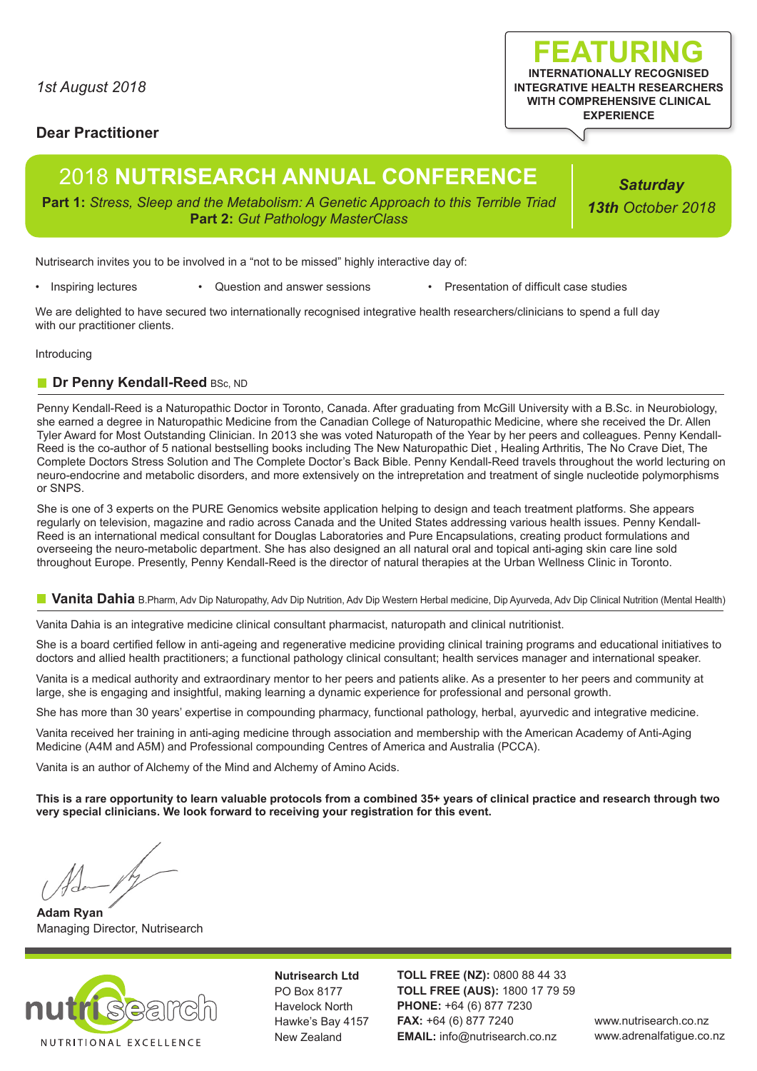## **Dear Practitioner**

# 2018 **NUTRISEARCH ANNUAL CONFERENCE**

**Part 1:** *Stress, Sleep and the Metabolism: A Genetic Approach to this Terrible Triad* **Part 2:** *Gut Pathology MasterClass*

Nutrisearch invites you to be involved in a "not to be missed" highly interactive day of:

• Inspiring lectures • Question and answer sessions • Presentation of difficult case studies

We are delighted to have secured two internationally recognised integrative health researchers/clinicians to spend a full day with our practitioner clients.

Introducing

## **Dr Penny Kendall-Reed BSc, ND**

Penny Kendall-Reed is a Naturopathic Doctor in Toronto, Canada. After graduating from McGill University with a B.Sc. in Neurobiology, she earned a degree in Naturopathic Medicine from the Canadian College of Naturopathic Medicine, where she received the Dr. Allen Tyler Award for Most Outstanding Clinician. In 2013 she was voted Naturopath of the Year by her peers and colleagues. Penny Kendall-Reed is the co-author of 5 national bestselling books including The New Naturopathic Diet , Healing Arthritis, The No Crave Diet, The Complete Doctors Stress Solution and The Complete Doctor's Back Bible. Penny Kendall-Reed travels throughout the world lecturing on neuro-endocrine and metabolic disorders, and more extensively on the intrepretation and treatment of single nucleotide polymorphisms or SNPS.

She is one of 3 experts on the PURE Genomics website application helping to design and teach treatment platforms. She appears regularly on television, magazine and radio across Canada and the United States addressing various health issues. Penny Kendall-Reed is an international medical consultant for Douglas Laboratories and Pure Encapsulations, creating product formulations and overseeing the neuro-metabolic department. She has also designed an all natural oral and topical anti-aging skin care line sold throughout Europe. Presently, Penny Kendall-Reed is the director of natural therapies at the Urban Wellness Clinic in Toronto.

#### **Vanita Dahia** B.Pharm, Adv Dip Naturopathy, Adv Dip Nutrition, Adv Dip Western Herbal medicine, Dip Ayurveda, Adv Dip Clinical Nutrition (Mental Health)

Vanita Dahia is an integrative medicine clinical consultant pharmacist, naturopath and clinical nutritionist.

She is a board certified fellow in anti-ageing and regenerative medicine providing clinical training programs and educational initiatives to doctors and allied health practitioners; a functional pathology clinical consultant; health services manager and international speaker.

Vanita is a medical authority and extraordinary mentor to her peers and patients alike. As a presenter to her peers and community at large, she is engaging and insightful, making learning a dynamic experience for professional and personal growth.

She has more than 30 years' expertise in compounding pharmacy, functional pathology, herbal, ayurvedic and integrative medicine.

Vanita received her training in anti-aging medicine through association and membership with the American Academy of Anti-Aging Medicine (A4M and A5M) and Professional compounding Centres of America and Australia (PCCA).

Vanita is an author of Alchemy of the Mind and Alchemy of Amino Acids.

**This is a rare opportunity to learn valuable protocols from a combined 35+ years of clinical practice and research through two very special clinicians. We look forward to receiving your registration for this event.**

 $\sqrt{m}$ 

**Adam Ryan** Managing Director, Nutrisearch



**Nutrisearch Ltd** PO Box 8177 Havelock North Hawke's Bay 4157 New Zealand

**TOLL FREE (NZ):** 0800 88 44 33 **TOLL FREE (AUS):** 1800 17 79 59 **PHONE:** +64 (6) 877 7230 **FAX:** +64 (6) 877 7240 **EMAIL:** info@nutrisearch.co.nz

*Saturday 13th October 2018*

**FEATURING INTERNATIONALLY RECOGNISED INTEGRATIVE HEALTH RESEARCHERS WITH COMPREHENSIVE CLINICAL EXPERIENCE**

> www.nutrisearch.co.nz www.adrenalfatigue.co.nz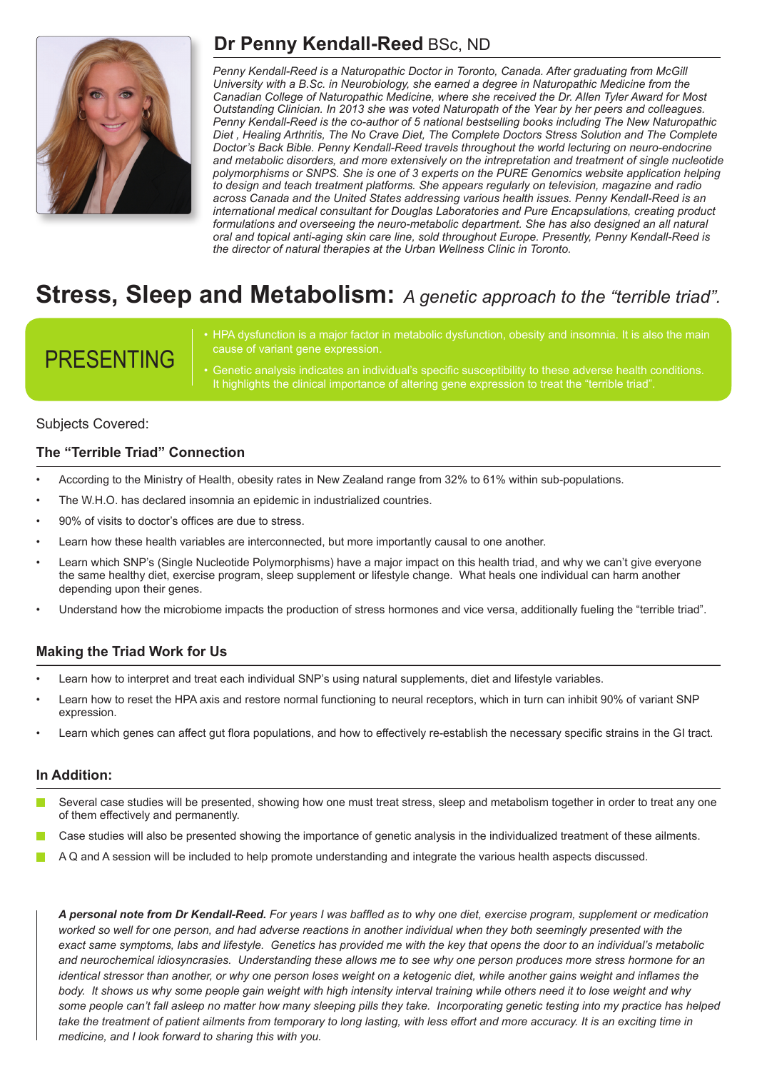

# **Dr Penny Kendall-Reed** BSc, ND

*Penny Kendall-Reed is a Naturopathic Doctor in Toronto, Canada. After graduating from McGill University with a B.Sc. in Neurobiology, she earned a degree in Naturopathic Medicine from the Canadian College of Naturopathic Medicine, where she received the Dr. Allen Tyler Award for Most Outstanding Clinician. In 2013 she was voted Naturopath of the Year by her peers and colleagues. Penny Kendall-Reed is the co-author of 5 national bestselling books including The New Naturopathic Diet , Healing Arthritis, The No Crave Diet, The Complete Doctors Stress Solution and The Complete Doctor's Back Bible. Penny Kendall-Reed travels throughout the world lecturing on neuro-endocrine and metabolic disorders, and more extensively on the intrepretation and treatment of single nucleotide polymorphisms or SNPS. She is one of 3 experts on the PURE Genomics website application helping to design and teach treatment platforms. She appears regularly on television, magazine and radio across Canada and the United States addressing various health issues. Penny Kendall-Reed is an international medical consultant for Douglas Laboratories and Pure Encapsulations, creating product formulations and overseeing the neuro-metabolic department. She has also designed an all natural oral and topical anti-aging skin care line, sold throughout Europe. Presently, Penny Kendall-Reed is the director of natural therapies at the Urban Wellness Clinic in Toronto.*

# **Stress, Sleep and Metabolism:** *A genetic approach to the "terrible triad".*

# PRESENTING

- HPA dysfunction is a major factor in metabolic dysfunction, obesity and insomnia. It is also the main cause of variant gene expression.
- Genetic analysis indicates an individual's specific susceptibility to these adverse health conditions. It highlights the clinical importance of altering gene expression to treat the "terrible triad"

## Subjects Covered:

## **The "Terrible Triad" Connection**

- According to the Ministry of Health, obesity rates in New Zealand range from 32% to 61% within sub-populations.
- The W.H.O. has declared insomnia an epidemic in industrialized countries.
- 90% of visits to doctor's offices are due to stress.
- Learn how these health variables are interconnected, but more importantly causal to one another.
- Learn which SNP's (Single Nucleotide Polymorphisms) have a major impact on this health triad, and why we can't give everyone the same healthy diet, exercise program, sleep supplement or lifestyle change. What heals one individual can harm another depending upon their genes.
- Understand how the microbiome impacts the production of stress hormones and vice versa, additionally fueling the "terrible triad".

## **Making the Triad Work for Us**

- Learn how to interpret and treat each individual SNP's using natural supplements, diet and lifestyle variables.
- Learn how to reset the HPA axis and restore normal functioning to neural receptors, which in turn can inhibit 90% of variant SNP expression.
- Learn which genes can affect gut flora populations, and how to effectively re-establish the necessary specific strains in the GI tract.

### **In Addition:**

- Several case studies will be presented, showing how one must treat stress, sleep and metabolism together in order to treat any one of them effectively and permanently.
- Case studies will also be presented showing the importance of genetic analysis in the individualized treatment of these ailments.
- A Q and A session will be included to help promote understanding and integrate the various health aspects discussed.

*A personal note from Dr Kendall-Reed. For years I was baffled as to why one diet, exercise program, supplement or medication worked so well for one person, and had adverse reactions in another individual when they both seemingly presented with the exact same symptoms, labs and lifestyle. Genetics has provided me with the key that opens the door to an individual's metabolic and neurochemical idiosyncrasies. Understanding these allows me to see why one person produces more stress hormone for an identical stressor than another, or why one person loses weight on a ketogenic diet, while another gains weight and inflames the body. It shows us why some people gain weight with high intensity interval training while others need it to lose weight and why some people can't fall asleep no matter how many sleeping pills they take. Incorporating genetic testing into my practice has helped*  take the treatment of patient ailments from temporary to long lasting, with less effort and more accuracy. It is an exciting time in *medicine, and I look forward to sharing this with you.*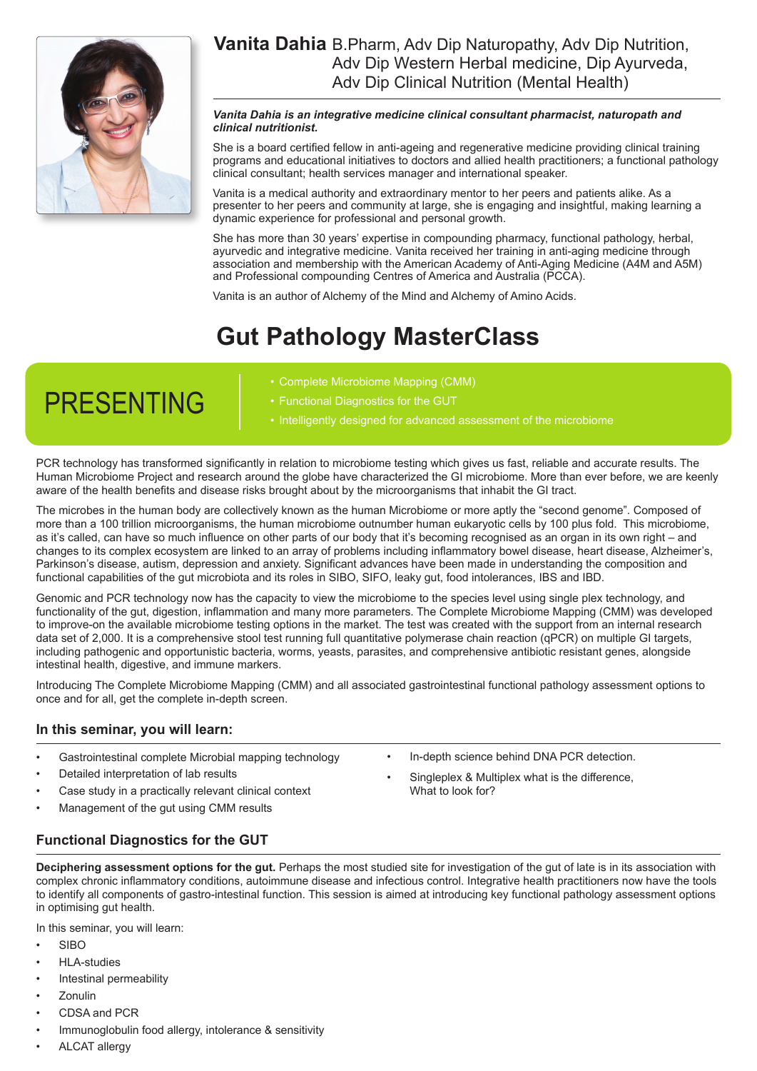

## **Vanita Dahia** B.Pharm, Adv Dip Naturopathy, Adv Dip Nutrition, Adv Dip Western Herbal medicine, Dip Ayurveda, Adv Dip Clinical Nutrition (Mental Health)

### *Vanita Dahia is an integrative medicine clinical consultant pharmacist, naturopath and clinical nutritionist.*

She is a board certified fellow in anti-ageing and regenerative medicine providing clinical training programs and educational initiatives to doctors and allied health practitioners; a functional pathology clinical consultant; health services manager and international speaker.

Vanita is a medical authority and extraordinary mentor to her peers and patients alike. As a presenter to her peers and community at large, she is engaging and insightful, making learning a dynamic experience for professional and personal growth.

She has more than 30 years' expertise in compounding pharmacy, functional pathology, herbal, ayurvedic and integrative medicine. Vanita received her training in anti-aging medicine through association and membership with the American Academy of Anti-Aging Medicine (A4M and A5M) and Professional compounding Centres of America and Australia (PCCA).

Vanita is an author of Alchemy of the Mind and Alchemy of Amino Acids.

# **Gut Pathology MasterClass**

# PRESENTING

- Complete Microbiome Mapping (CMM)
- Functional Diagnostics for the GUT
- Intelligently designed for advanced assessment of the microbiome

PCR technology has transformed significantly in relation to microbiome testing which gives us fast, reliable and accurate results. The Human Microbiome Project and research around the globe have characterized the GI microbiome. More than ever before, we are keenly aware of the health benefits and disease risks brought about by the microorganisms that inhabit the GI tract.

The microbes in the human body are collectively known as the human Microbiome or more aptly the "second genome". Composed of more than a 100 trillion microorganisms, the human microbiome outnumber human eukaryotic cells by 100 plus fold. This microbiome, as it's called, can have so much influence on other parts of our body that it's becoming recognised as an organ in its own right – and changes to its complex ecosystem are linked to an array of problems including inflammatory bowel disease, heart disease, Alzheimer's, Parkinson's disease, autism, depression and anxiety. Significant advances have been made in understanding the composition and functional capabilities of the gut microbiota and its roles in SIBO, SIFO, leaky gut, food intolerances, IBS and IBD.

Genomic and PCR technology now has the capacity to view the microbiome to the species level using single plex technology, and functionality of the gut, digestion, inflammation and many more parameters. The Complete Microbiome Mapping (CMM) was developed to improve-on the available microbiome testing options in the market. The test was created with the support from an internal research data set of 2,000. It is a comprehensive stool test running full quantitative polymerase chain reaction (qPCR) on multiple GI targets, including pathogenic and opportunistic bacteria, worms, yeasts, parasites, and comprehensive antibiotic resistant genes, alongside intestinal health, digestive, and immune markers.

Introducing The Complete Microbiome Mapping (CMM) and all associated gastrointestinal functional pathology assessment options to once and for all, get the complete in-depth screen.

### **In this seminar, you will learn:**

- Gastrointestinal complete Microbial mapping technology
- Detailed interpretation of lab results
- Case study in a practically relevant clinical context
- Management of the gut using CMM results
- In-depth science behind DNA PCR detection.
- Singleplex & Multiplex what is the difference, What to look for?

## **Functional Diagnostics for the GUT**

**Deciphering assessment options for the gut.** Perhaps the most studied site for investigation of the gut of late is in its association with complex chronic inflammatory conditions, autoimmune disease and infectious control. Integrative health practitioners now have the tools to identify all components of gastro-intestinal function. This session is aimed at introducing key functional pathology assessment options in optimising gut health.

In this seminar, you will learn:

- SIBO
- HLA-studies
- Intestinal permeability
- Zonulin
- CDSA and PCR
- Immunoglobulin food allergy, intolerance & sensitivity
- ALCAT allergy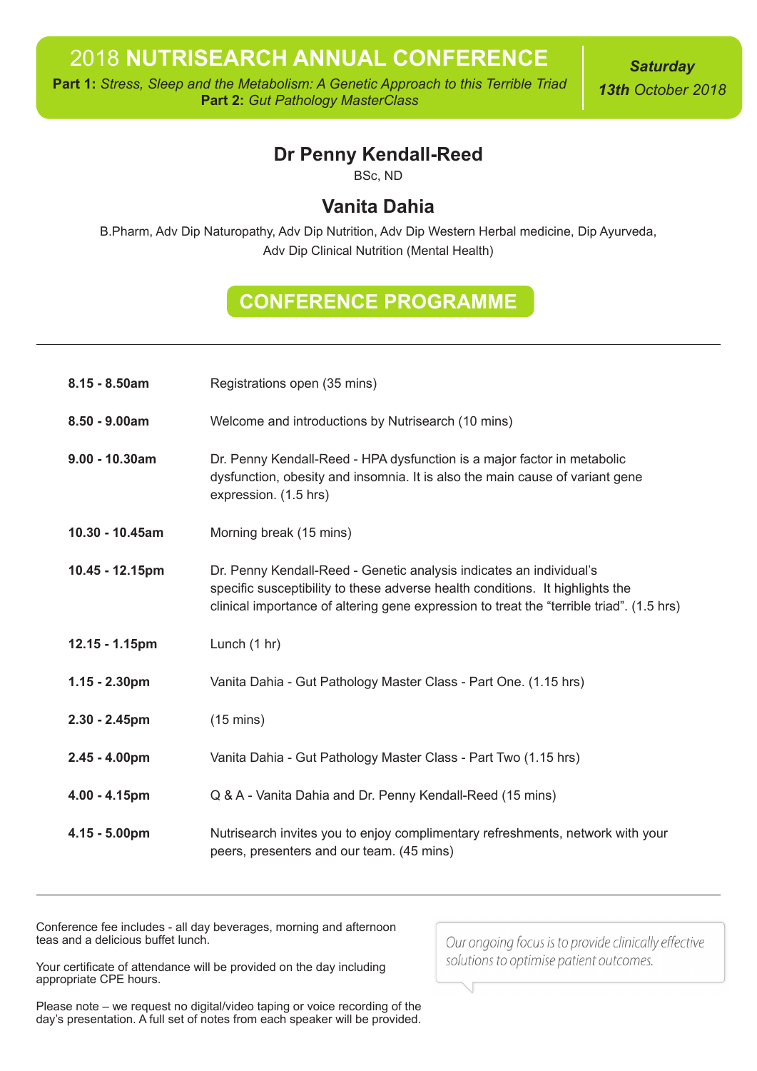**Part 1:** *Stress, Sleep and the Metabolism: A Genetic Approach to this Terrible Triad* **Part 2:** *Gut Pathology MasterClass*

*Saturday 13th October 2018*

# **Dr Penny Kendall-Reed**

BSc, ND

# **Vanita Dahia**

B.Pharm, Adv Dip Naturopathy, Adv Dip Nutrition, Adv Dip Western Herbal medicine, Dip Ayurveda, Adv Dip Clinical Nutrition (Mental Health)

# **CONFERENCE PROGRAMME**

| $8.15 - 8.50am$   | Registrations open (35 mins)                                                                                                                                                                                                                     |  |
|-------------------|--------------------------------------------------------------------------------------------------------------------------------------------------------------------------------------------------------------------------------------------------|--|
| $8.50 - 9.00am$   | Welcome and introductions by Nutrisearch (10 mins)                                                                                                                                                                                               |  |
| $9.00 - 10.30$ am | Dr. Penny Kendall-Reed - HPA dysfunction is a major factor in metabolic<br>dysfunction, obesity and insomnia. It is also the main cause of variant gene<br>expression. (1.5 hrs)                                                                 |  |
| 10.30 - 10.45am   | Morning break (15 mins)                                                                                                                                                                                                                          |  |
| 10.45 - 12.15pm   | Dr. Penny Kendall-Reed - Genetic analysis indicates an individual's<br>specific susceptibility to these adverse health conditions. It highlights the<br>clinical importance of altering gene expression to treat the "terrible triad". (1.5 hrs) |  |
| 12.15 - 1.15pm    | Lunch (1 hr)                                                                                                                                                                                                                                     |  |
| $1.15 - 2.30$ pm  | Vanita Dahia - Gut Pathology Master Class - Part One. (1.15 hrs)                                                                                                                                                                                 |  |
| $2.30 - 2.45$ pm  | $(15 \text{ mins})$                                                                                                                                                                                                                              |  |
| $2.45 - 4.00pm$   | Vanita Dahia - Gut Pathology Master Class - Part Two (1.15 hrs)                                                                                                                                                                                  |  |
| $4.00 - 4.15$ pm  | Q & A - Vanita Dahia and Dr. Penny Kendall-Reed (15 mins)                                                                                                                                                                                        |  |
| $4.15 - 5.00$ pm  | Nutrisearch invites you to enjoy complimentary refreshments, network with your<br>peers, presenters and our team. (45 mins)                                                                                                                      |  |

Conference fee includes - all day beverages, morning and afternoon teas and a delicious buffet lunch.

Our ongoing focus is to provide clinically effective solutions to optimise patient outcomes.

Your certificate of attendance will be provided on the day including appropriate CPE hours.

Please note – we request no digital/video taping or voice recording of the day's presentation. A full set of notes from each speaker will be provided.